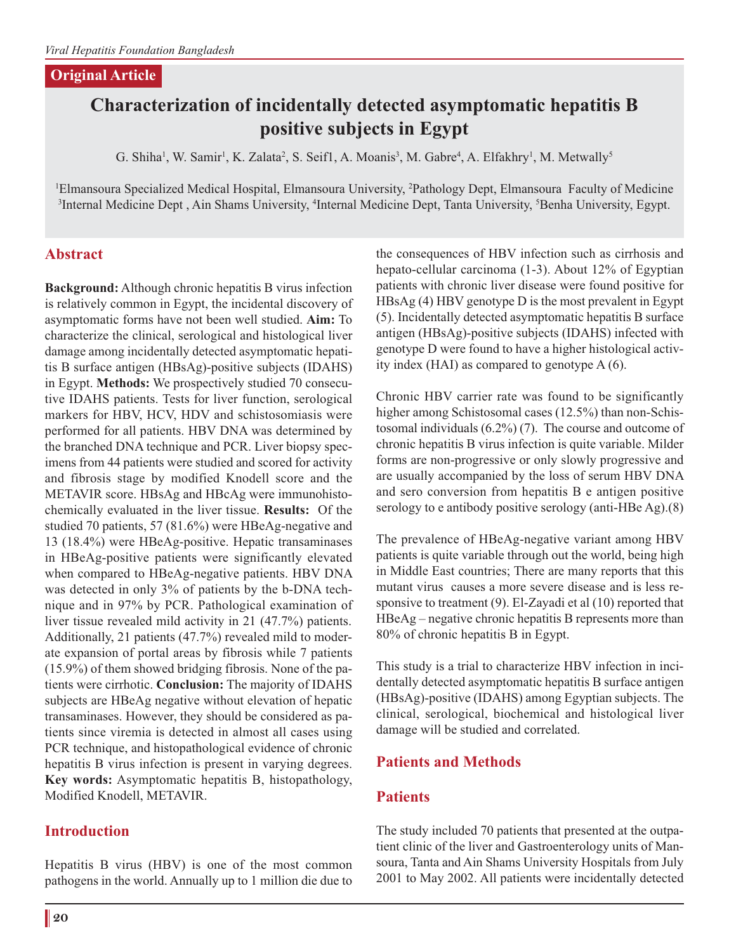#### **Original Article**

# **Characterization of incidentally detected asymptomatic hepatitis B positive subjects in Egypt**

G. Shiha<sup>1</sup>, W. Samir<sup>1</sup>, K. Zalata<sup>2</sup>, S. Seif1, A. Moanis<sup>3</sup>, M. Gabre<sup>4</sup>, A. Elfakhry<sup>1</sup>, M. Metwally<sup>5</sup>

1 Elmansoura Specialized Medical Hospital, Elmansoura University, 2 Pathology Dept, Elmansoura Faculty of Medicine <sup>3</sup>Internal Medicine Dept , Ain Shams University, <sup>4</sup>Internal Medicine Dept, Tanta University, <sup>5</sup>Benha University, Egypt.

# **Abstract**

**Background:** Although chronic hepatitis B virus infection is relatively common in Egypt, the incidental discovery of asymptomatic forms have not been well studied. **Aim:** To characterize the clinical, serological and histological liver damage among incidentally detected asymptomatic hepatitis B surface antigen (HBsAg)-positive subjects (IDAHS) in Egypt. **Methods:** We prospectively studied 70 consecutive IDAHS patients. Tests for liver function, serological markers for HBV, HCV, HDV and schistosomiasis were performed for all patients. HBV DNA was determined by the branched DNA technique and PCR. Liver biopsy specimens from 44 patients were studied and scored for activity and fibrosis stage by modified Knodell score and the METAVIR score. HBsAg and HBcAg were immunohistochemically evaluated in the liver tissue. **Results:** Of the studied 70 patients, 57 (81.6%) were HBeAg-negative and 13 (18.4%) were HBeAg-positive. Hepatic transaminases in HBeAg-positive patients were significantly elevated when compared to HBeAg-negative patients. HBV DNA was detected in only 3% of patients by the b-DNA technique and in 97% by PCR. Pathological examination of liver tissue revealed mild activity in 21 (47.7%) patients. Additionally, 21 patients (47.7%) revealed mild to moderate expansion of portal areas by fibrosis while 7 patients (15.9%) of them showed bridging fibrosis. None of the patients were cirrhotic. **Conclusion:** The majority of IDAHS subjects are HBeAg negative without elevation of hepatic transaminases. However, they should be considered as patients since viremia is detected in almost all cases using PCR technique, and histopathological evidence of chronic hepatitis B virus infection is present in varying degrees. **Key words:** Asymptomatic hepatitis B, histopathology, Modified Knodell, METAVIR.

# **Introduction**

Hepatitis B virus (HBV) is one of the most common pathogens in the world. Annually up to 1 million die due to

the consequences of HBV infection such as cirrhosis and hepato-cellular carcinoma (1-3). About 12% of Egyptian patients with chronic liver disease were found positive for HBsAg (4) HBV genotype D is the most prevalent in Egypt (5). Incidentally detected asymptomatic hepatitis B surface antigen (HBsAg)-positive subjects (IDAHS) infected with genotype D were found to have a higher histological activity index (HAI) as compared to genotype A (6).

Chronic HBV carrier rate was found to be significantly higher among Schistosomal cases (12.5%) than non-Schistosomal individuals (6.2%) (7). The course and outcome of chronic hepatitis B virus infection is quite variable. Milder forms are non-progressive or only slowly progressive and are usually accompanied by the loss of serum HBV DNA and sero conversion from hepatitis B e antigen positive serology to e antibody positive serology (anti-HBe Ag).(8)

The prevalence of HBeAg-negative variant among HBV patients is quite variable through out the world, being high in Middle East countries; There are many reports that this mutant virus causes a more severe disease and is less responsive to treatment (9). El-Zayadi et al (10) reported that HBeAg – negative chronic hepatitis B represents more than 80% of chronic hepatitis B in Egypt.

This study is a trial to characterize HBV infection in incidentally detected asymptomatic hepatitis B surface antigen (HBsAg)-positive (IDAHS) among Egyptian subjects. The clinical, serological, biochemical and histological liver damage will be studied and correlated.

# **Patients and Methods**

#### **Patients**

The study included 70 patients that presented at the outpatient clinic of the liver and Gastroenterology units of Mansoura, Tanta and Ain Shams University Hospitals from July 2001 to May 2002. All patients were incidentally detected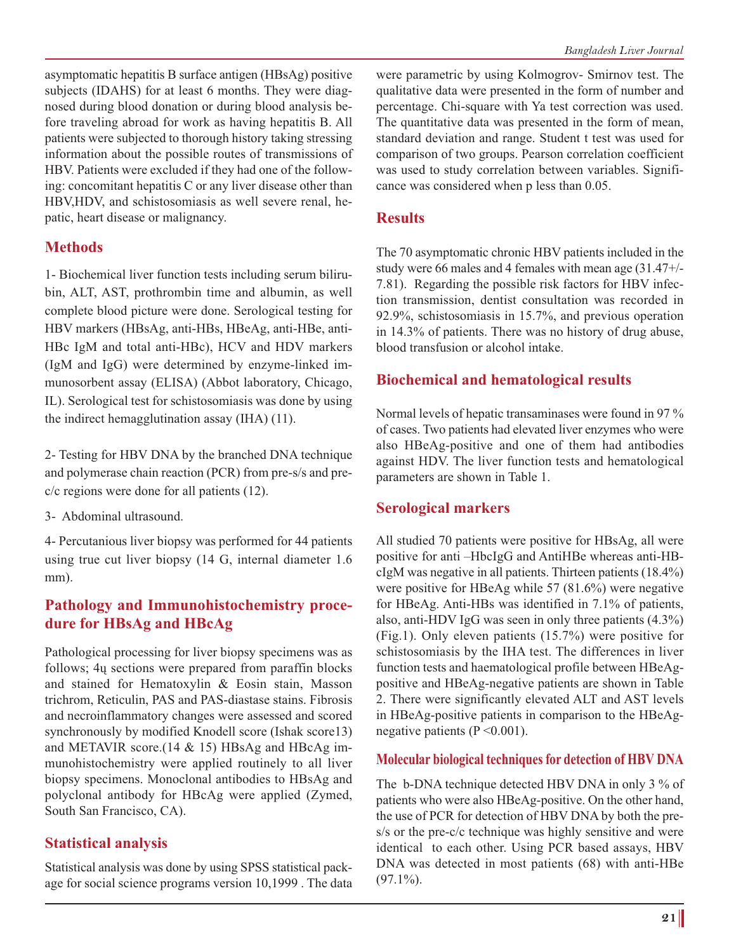asymptomatic hepatitis B surface antigen (HBsAg) positive subjects (IDAHS) for at least 6 months. They were diagnosed during blood donation or during blood analysis before traveling abroad for work as having hepatitis B. All patients were subjected to thorough history taking stressing information about the possible routes of transmissions of HBV. Patients were excluded if they had one of the following: concomitant hepatitis C or any liver disease other than HBV,HDV, and schistosomiasis as well severe renal, hepatic, heart disease or malignancy.

### **Methods**

1- Biochemical liver function tests including serum bilirubin, ALT, AST, prothrombin time and albumin, as well complete blood picture were done. Serological testing for HBV markers (HBsAg, anti-HBs, HBeAg, anti-HBe, anti-HBc IgM and total anti-HBc), HCV and HDV markers (IgM and IgG) were determined by enzyme-linked immunosorbent assay (ELISA) (Abbot laboratory, Chicago, IL). Serological test for schistosomiasis was done by using the indirect hemagglutination assay (IHA) (11).

2- Testing for HBV DNA by the branched DNA technique and polymerase chain reaction (PCR) from pre-s/s and prec/c regions were done for all patients (12).

3- Abdominal ultrasound.

4- Percutanious liver biopsy was performed for 44 patients using true cut liver biopsy (14 G, internal diameter 1.6 mm).

# **Pathology and Immunohistochemistry procedure for HBsAg and HBcAg**

Pathological processing for liver biopsy specimens was as follows; 4ų sections were prepared from paraffin blocks and stained for Hematoxylin & Eosin stain, Masson trichrom, Reticulin, PAS and PAS-diastase stains. Fibrosis and necroinflammatory changes were assessed and scored synchronously by modified Knodell score (Ishak score13) and METAVIR score.(14 & 15) HBsAg and HBcAg immunohistochemistry were applied routinely to all liver biopsy specimens. Monoclonal antibodies to HBsAg and polyclonal antibody for HBcAg were applied (Zymed, South San Francisco, CA).

# **Statistical analysis**

Statistical analysis was done by using SPSS statistical package for social science programs version 10,1999 . The data were parametric by using Kolmogrov- Smirnov test. The qualitative data were presented in the form of number and percentage. Chi-square with Ya test correction was used. The quantitative data was presented in the form of mean, standard deviation and range. Student t test was used for comparison of two groups. Pearson correlation coefficient was used to study correlation between variables. Significance was considered when p less than 0.05.

#### **Results**

The 70 asymptomatic chronic HBV patients included in the study were 66 males and 4 females with mean age (31.47+/- 7.81). Regarding the possible risk factors for HBV infection transmission, dentist consultation was recorded in 92.9%, schistosomiasis in 15.7%, and previous operation in 14.3% of patients. There was no history of drug abuse, blood transfusion or alcohol intake.

### **Biochemical and hematological results**

Normal levels of hepatic transaminases were found in 97 % of cases. Two patients had elevated liver enzymes who were also HBeAg-positive and one of them had antibodies against HDV. The liver function tests and hematological parameters are shown in Table 1.

# **Serological markers**

All studied 70 patients were positive for HBsAg, all were positive for anti –HbcIgG and AntiHBe whereas anti-HBcIgM was negative in all patients. Thirteen patients (18.4%) were positive for HBeAg while 57 (81.6%) were negative for HBeAg. Anti-HBs was identified in 7.1% of patients, also, anti-HDV IgG was seen in only three patients (4.3%) (Fig.1). Only eleven patients (15.7%) were positive for schistosomiasis by the IHA test. The differences in liver function tests and haematological profile between HBeAgpositive and HBeAg-negative patients are shown in Table 2. There were significantly elevated ALT and AST levels in HBeAg-positive patients in comparison to the HBeAgnegative patients (P <0.001).

#### **Molecular biological techniques for detection of HBV DNA**

The b-DNA technique detected HBV DNA in only 3 % of patients who were also HBeAg-positive. On the other hand, the use of PCR for detection of HBV DNA by both the pres/s or the pre-c/c technique was highly sensitive and were identical to each other. Using PCR based assays, HBV DNA was detected in most patients (68) with anti-HBe  $(97.1\%)$ .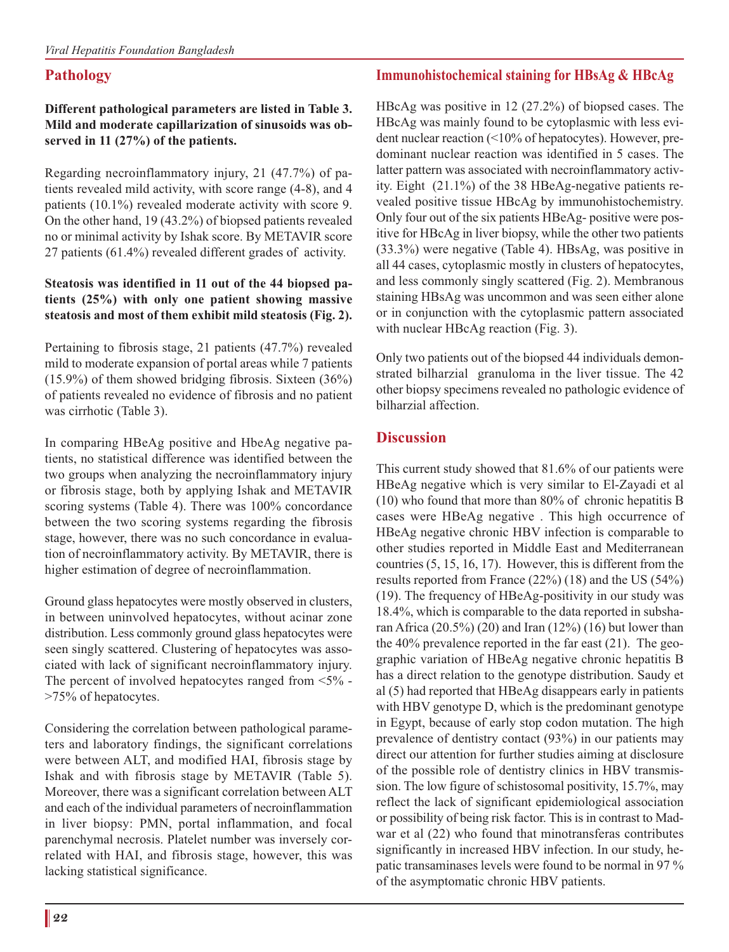# **Pathology**

#### **Different pathological parameters are listed in Table 3. Mild and moderate capillarization of sinusoids was observed in 11 (27%) of the patients.**

Regarding necroinflammatory injury, 21 (47.7%) of patients revealed mild activity, with score range (4-8), and 4 patients (10.1%) revealed moderate activity with score 9. On the other hand, 19 (43.2%) of biopsed patients revealed no or minimal activity by Ishak score. By METAVIR score 27 patients (61.4%) revealed different grades of activity.

#### **Steatosis was identified in 11 out of the 44 biopsed patients (25%) with only one patient showing massive steatosis and most of them exhibit mild steatosis (Fig. 2).**

Pertaining to fibrosis stage, 21 patients (47.7%) revealed mild to moderate expansion of portal areas while 7 patients  $(15.9\%)$  of them showed bridging fibrosis. Sixteen  $(36\%)$ of patients revealed no evidence of fibrosis and no patient was cirrhotic (Table 3).

In comparing HBeAg positive and HbeAg negative patients, no statistical difference was identified between the two groups when analyzing the necroinflammatory injury or fibrosis stage, both by applying Ishak and METAVIR scoring systems (Table 4). There was 100% concordance between the two scoring systems regarding the fibrosis stage, however, there was no such concordance in evaluation of necroinflammatory activity. By METAVIR, there is higher estimation of degree of necroinflammation.

Ground glass hepatocytes were mostly observed in clusters, in between uninvolved hepatocytes, without acinar zone distribution. Less commonly ground glass hepatocytes were seen singly scattered. Clustering of hepatocytes was associated with lack of significant necroinflammatory injury. The percent of involved hepatocytes ranged from <5% - >75% of hepatocytes.

Considering the correlation between pathological parameters and laboratory findings, the significant correlations were between ALT, and modified HAI, fibrosis stage by Ishak and with fibrosis stage by METAVIR (Table 5). Moreover, there was a significant correlation between ALT and each of the individual parameters of necroinflammation in liver biopsy: PMN, portal inflammation, and focal parenchymal necrosis. Platelet number was inversely correlated with HAI, and fibrosis stage, however, this was lacking statistical significance.

### **Immunohistochemical staining for HBsAg & HBcAg**

HBcAg was positive in 12 (27.2%) of biopsed cases. The HBcAg was mainly found to be cytoplasmic with less evident nuclear reaction (<10% of hepatocytes). However, predominant nuclear reaction was identified in 5 cases. The latter pattern was associated with necroinflammatory activity. Eight (21.1%) of the 38 HBeAg-negative patients revealed positive tissue HBcAg by immunohistochemistry. Only four out of the six patients HBeAg- positive were positive for HBcAg in liver biopsy, while the other two patients (33.3%) were negative (Table 4). HBsAg, was positive in all 44 cases, cytoplasmic mostly in clusters of hepatocytes, and less commonly singly scattered (Fig. 2). Membranous staining HBsAg was uncommon and was seen either alone or in conjunction with the cytoplasmic pattern associated with nuclear HBcAg reaction (Fig. 3).

Only two patients out of the biopsed 44 individuals demonstrated bilharzial granuloma in the liver tissue. The 42 other biopsy specimens revealed no pathologic evidence of bilharzial affection.

### **Discussion**

This current study showed that 81.6% of our patients were HBeAg negative which is very similar to El-Zayadi et al (10) who found that more than 80% of chronic hepatitis B cases were HBeAg negative . This high occurrence of HBeAg negative chronic HBV infection is comparable to other studies reported in Middle East and Mediterranean countries (5, 15, 16, 17). However, this is different from the results reported from France (22%) (18) and the US (54%) (19). The frequency of HBeAg-positivity in our study was 18.4%, which is comparable to the data reported in subsharan Africa  $(20.5\%)$   $(20)$  and Iran  $(12\%)$   $(16)$  but lower than the 40% prevalence reported in the far east (21). The geographic variation of HBeAg negative chronic hepatitis B has a direct relation to the genotype distribution. Saudy et al (5) had reported that HBeAg disappears early in patients with HBV genotype D, which is the predominant genotype in Egypt, because of early stop codon mutation. The high prevalence of dentistry contact (93%) in our patients may direct our attention for further studies aiming at disclosure of the possible role of dentistry clinics in HBV transmission. The low figure of schistosomal positivity, 15.7%, may reflect the lack of significant epidemiological association or possibility of being risk factor. This is in contrast to Madwar et al (22) who found that minotransferas contributes significantly in increased HBV infection. In our study, hepatic transaminases levels were found to be normal in 97 % of the asymptomatic chronic HBV patients.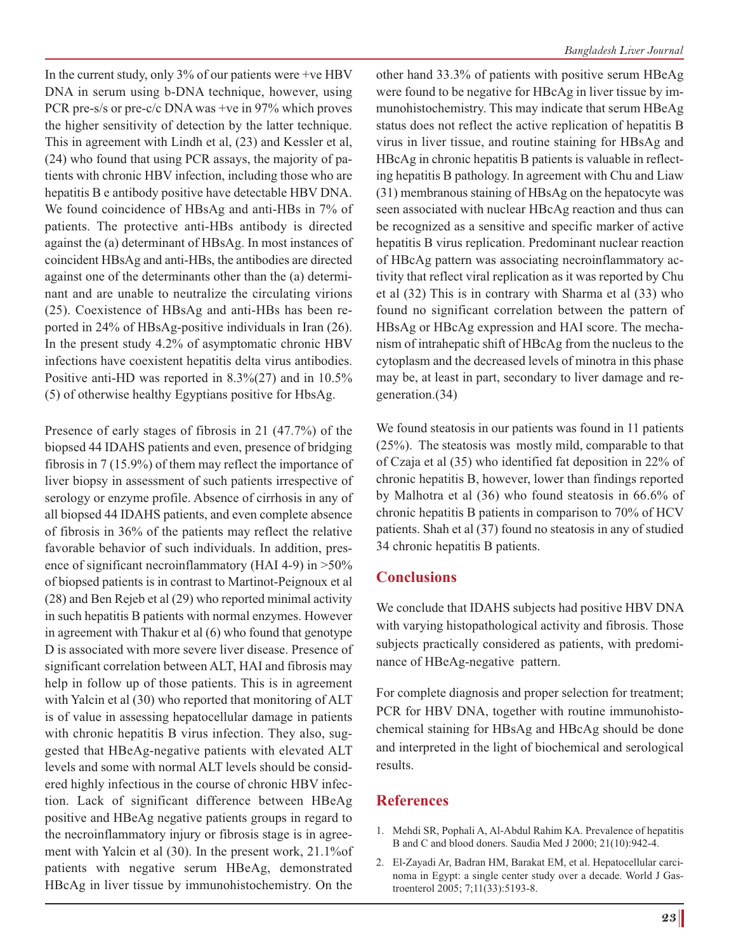In the current study, only  $3\%$  of our patients were +ve HBV DNA in serum using b-DNA technique, however, using PCR pre-s/s or pre-c/c DNA was +ve in 97% which proves the higher sensitivity of detection by the latter technique. This in agreement with Lindh et al, (23) and Kessler et al, (24) who found that using PCR assays, the majority of patients with chronic HBV infection, including those who are hepatitis B e antibody positive have detectable HBV DNA. We found coincidence of HBsAg and anti-HBs in 7% of patients. The protective anti-HBs antibody is directed against the (a) determinant of HBsAg. In most instances of coincident HBsAg and anti-HBs, the antibodies are directed against one of the determinants other than the (a) determinant and are unable to neutralize the circulating virions (25). Coexistence of HBsAg and anti-HBs has been reported in 24% of HBsAg-positive individuals in Iran (26). In the present study 4.2% of asymptomatic chronic HBV infections have coexistent hepatitis delta virus antibodies. Positive anti-HD was reported in 8.3%(27) and in 10.5% (5) of otherwise healthy Egyptians positive for HbsAg.

Presence of early stages of fibrosis in 21 (47.7%) of the biopsed 44 IDAHS patients and even, presence of bridging fibrosis in 7 (15.9%) of them may reflect the importance of liver biopsy in assessment of such patients irrespective of serology or enzyme profile. Absence of cirrhosis in any of all biopsed 44 IDAHS patients, and even complete absence of fibrosis in 36% of the patients may reflect the relative favorable behavior of such individuals. In addition, presence of significant necroinflammatory (HAI 4-9) in >50% of biopsed patients is in contrast to Martinot-Peignoux et al (28) and Ben Rejeb et al (29) who reported minimal activity in such hepatitis B patients with normal enzymes. However in agreement with Thakur et al (6) who found that genotype D is associated with more severe liver disease. Presence of significant correlation between ALT, HAI and fibrosis may help in follow up of those patients. This is in agreement with Yalcin et al (30) who reported that monitoring of ALT is of value in assessing hepatocellular damage in patients with chronic hepatitis B virus infection. They also, suggested that HBeAg-negative patients with elevated ALT levels and some with normal ALT levels should be considered highly infectious in the course of chronic HBV infection. Lack of significant difference between HBeAg positive and HBeAg negative patients groups in regard to the necroinflammatory injury or fibrosis stage is in agreement with Yalcin et al (30). In the present work, 21.1%of patients with negative serum HBeAg, demonstrated HBcAg in liver tissue by immunohistochemistry. On the

other hand 33.3% of patients with positive serum HBeAg were found to be negative for HBcAg in liver tissue by immunohistochemistry. This may indicate that serum HBeAg status does not reflect the active replication of hepatitis B virus in liver tissue, and routine staining for HBsAg and HBcAg in chronic hepatitis B patients is valuable in reflecting hepatitis B pathology. In agreement with Chu and Liaw (31) membranous staining of HBsAg on the hepatocyte was seen associated with nuclear HBcAg reaction and thus can be recognized as a sensitive and specific marker of active hepatitis B virus replication. Predominant nuclear reaction of HBcAg pattern was associating necroinflammatory activity that reflect viral replication as it was reported by Chu et al (32) This is in contrary with Sharma et al (33) who found no significant correlation between the pattern of HBsAg or HBcAg expression and HAI score. The mechanism of intrahepatic shift of HBcAg from the nucleus to the cytoplasm and the decreased levels of minotra in this phase may be, at least in part, secondary to liver damage and regeneration.(34)

We found steatosis in our patients was found in 11 patients (25%). The steatosis was mostly mild, comparable to that of Czaja et al (35) who identified fat deposition in 22% of chronic hepatitis B, however, lower than findings reported by Malhotra et al (36) who found steatosis in 66.6% of chronic hepatitis B patients in comparison to 70% of HCV patients. Shah et al (37) found no steatosis in any of studied 34 chronic hepatitis B patients.

#### **Conclusions**

We conclude that IDAHS subjects had positive HBV DNA with varying histopathological activity and fibrosis. Those subjects practically considered as patients, with predominance of HBeAg-negative pattern.

For complete diagnosis and proper selection for treatment; PCR for HBV DNA, together with routine immunohistochemical staining for HBsAg and HBcAg should be done and interpreted in the light of biochemical and serological results.

#### **References**

- 1. Mehdi SR, Pophali A, Al-Abdul Rahim KA. Prevalence of hepatitis B and C and blood doners. Saudia Med J 2000; 21(10):942-4.
- 2. El-Zayadi Ar, Badran HM, Barakat EM, et al. Hepatocellular carcinoma in Egypt: a single center study over a decade. World J Gastroenterol 2005; 7;11(33):5193-8.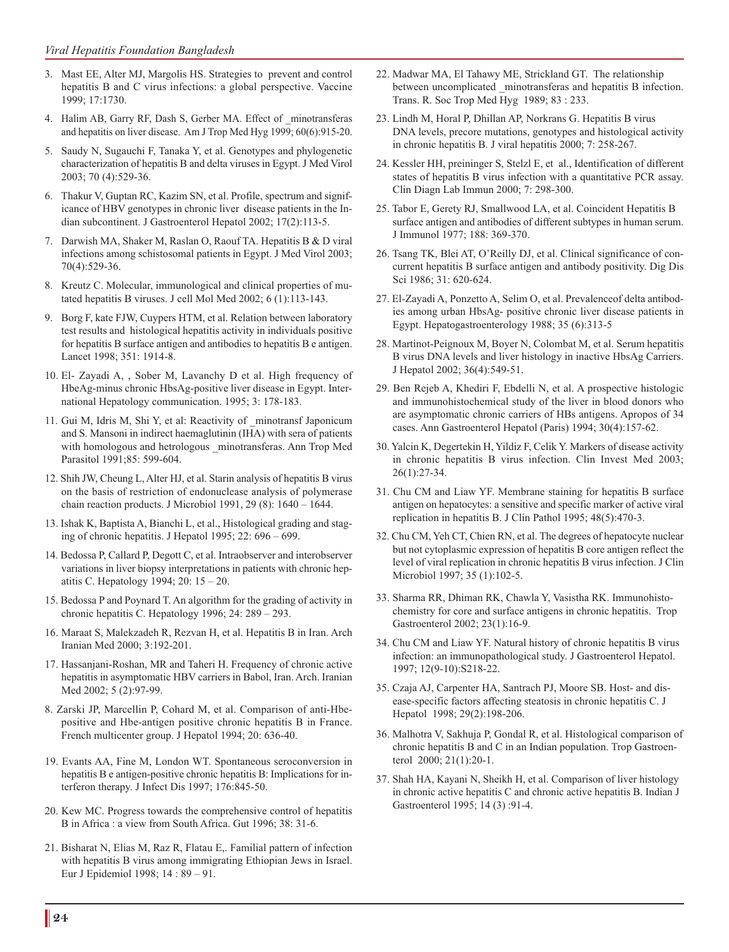- 3. Mast EE, Alter MJ, Margolis HS. Strategies to prevent and control hepatitis B and C virus infections: a global perspective. Vaccine 1999; 17:1730.
- 4. Halim AB, Garry RF, Dash S, Gerber MA. Effect of \_minotransferas and hepatitis on liver disease. Am J Trop Med Hyg 1999; 60(6):915-20.
- 5. Saudy N, Sugauchi F, Tanaka Y, et al. Genotypes and phylogenetic characterization of hepatitis B and delta viruses in Egypt. J Med Virol 2003; 70 (4):529-36.
- 6. Thakur V, Guptan RC, Kazim SN, et al. Profile, spectrum and significance of HBV genotypes in chronic liver disease patients in the Indian subcontinent. J Gastroenterol Hepatol 2002; 17(2):113-5.
- 7. Darwish MA, Shaker M, Raslan O, Raouf TA. Hepatitis B & D viral infections among schistosomal patients in Egypt. J Med Virol 2003; 70(4):529-36.
- 8. Kreutz C. Molecular, immunological and clinical properties of mutated hepatitis B viruses. J cell Mol Med 2002; 6 (1):113-143.
- 9. Borg F, kate FJW, Cuypers HTM, et al. Relation between laboratory test results and histological hepatitis activity in individuals positive for hepatitis B surface antigen and antibodies to hepatitis B e antigen. Lancet 1998; 351: 1914-8.
- 10. El- Zayadi A, , Sober M, Lavanchy D et al. High frequency of HbeAg-minus chronic HbsAg-positive liver disease in Egypt. International Hepatology communication. 1995; 3: 178-183.
- 11. Gui M, Idris M, Shi Y, et al: Reactivity of \_minotransf Japonicum and S. Mansoni in indirect haemaglutinin (IHA) with sera of patients with homologous and hetrologous \_minotransferas. Ann Trop Med Parasitol 1991;85: 599-604.
- 12. Shih JW, Cheung L, Alter HJ, et al. Starin analysis of hepatitis B virus on the basis of restriction of endonuclease analysis of polymerase chain reaction products. J Microbiol 1991, 29 (8): 1640 – 1644.
- 13. Ishak K, Baptista A, Bianchi L, et al., Histological grading and staging of chronic hepatitis. J Hepatol 1995; 22: 696 – 699.
- 14. Bedossa P, Callard P, Degott C, et al. Intraobserver and interobserver variations in liver biopsy interpretations in patients with chronic hepatitis C. Hepatology 1994; 20: 15 – 20.
- 15. Bedossa P and Poynard T. An algorithm for the grading of activity in chronic hepatitis C. Hepatology 1996; 24: 289 – 293.
- 16. Maraat S, Malekzadeh R, Rezvan H, et al. Hepatitis B in Iran. Arch Iranian Med 2000; 3:192-201.
- 17. Hassanjani-Roshan, MR and Taheri H. Frequency of chronic active hepatitis in asymptomatic HBV carriers in Babol, Iran. Arch. Iranian Med 2002; 5 (2):97-99.
- 8. Zarski JP, Marcellin P, Cohard M, et al. Comparison of anti-Hbepositive and Hbe-antigen positive chronic hepatitis B in France. French multicenter group. J Hepatol 1994; 20: 636-40.
- 19. Evants AA, Fine M, London WT. Spontaneous seroconversion in hepatitis B e antigen-positive chronic hepatitis B: Implications for interferon therapy. J Infect Dis 1997; 176:845-50.
- 20. Kew MC. Progress towards the comprehensive control of hepatitis B in Africa : a view from South Africa. Gut 1996; 38: 31-6.
- 21. Bisharat N, Elias M, Raz R, Flatau E,. Familial pattern of infection with hepatitis B virus among immigrating Ethiopian Jews in Israel. Eur J Epidemiol 1998; 14 : 89 – 91.
- 22. Madwar MA, El Tahawy ME, Strickland GT. The relationship between uncomplicated minotransferas and hepatitis B infection. Trans. R. Soc Trop Med Hyg 1989; 83 : 233.
- 23. Lindh M, Horal P, Dhillan AP, Norkrans G. Hepatitis B virus DNA levels, precore mutations, genotypes and histological activity in chronic hepatitis B. J viral hepatitis 2000; 7: 258-267.
- 24. Kessler HH, preininger S, Stelzl E, et al., Identification of different states of hepatitis B virus infection with a quantitative PCR assay. Clin Diagn Lab Immun 2000; 7: 298-300.
- 25. Tabor E, Gerety RJ, Smallwood LA, et al. Coincident Hepatitis B surface antigen and antibodies of different subtypes in human serum. J Immunol 1977; 188: 369-370.
- 26. Tsang TK, Blei AT, O'Reilly DJ, et al. Clinical significance of concurrent hepatitis B surface antigen and antibody positivity. Dig Dis Sci 1986; 31: 620-624.
- 27. El-Zayadi A, Ponzetto A, Selim O, et al. Prevalenceof delta antibodies among urban HbsAg- positive chronic liver disease patients in Egypt. Hepatogastroenterology 1988; 35 (6):313-5
- 28. Martinot-Peignoux M, Boyer N, Colombat M, et al. Serum hepatitis B virus DNA levels and liver histology in inactive HbsAg Carriers. J Hepatol 2002; 36(4):549-51.
- 29. Ben Rejeb A, Khediri F, Ebdelli N, et al. A prospective histologic and immunohistochemical study of the liver in blood donors who are asymptomatic chronic carriers of HBs antigens. Apropos of 34 cases. Ann Gastroenterol Hepatol (Paris) 1994; 30(4):157-62.
- 30. Yalcin K, Degertekin H, Yildiz F, Celik Y. Markers of disease activity in chronic hepatitis B virus infection. Clin Invest Med 2003; 26(1):27-34.
- 31. Chu CM and Liaw YF. Membrane staining for hepatitis B surface antigen on hepatocytes: a sensitive and specific marker of active viral replication in hepatitis B. J Clin Pathol 1995; 48(5):470-3.
- 32. Chu CM, Yeh CT, Chien RN, et al. The degrees of hepatocyte nuclear but not cytoplasmic expression of hepatitis B core antigen reflect the level of viral replication in chronic hepatitis B virus infection. J Clin Microbiol 1997; 35 (1):102-5.
- 33. Sharma RR, Dhiman RK, Chawla Y, Vasistha RK. Immunohistochemistry for core and surface antigens in chronic hepatitis. Trop Gastroenterol 2002; 23(1):16-9.
- 34. Chu CM and Liaw YF. Natural history of chronic hepatitis B virus infection: an immunopathological study. J Gastroenterol Hepatol. 1997; 12(9-10):S218-22.
- 35. Czaja AJ, Carpenter HA, Santrach PJ, Moore SB. Host- and disease-specific factors affecting steatosis in chronic hepatitis C. J Hepatol 1998; 29(2):198-206.
- 36. Malhotra V, Sakhuja P, Gondal R, et al. Histological comparison of chronic hepatitis B and C in an Indian population. Trop Gastroenterol 2000; 21(1):20-1.
- 37. Shah HA, Kayani N, Sheikh H, et al. Comparison of liver histology in chronic active hepatitis C and chronic active hepatitis B. Indian J Gastroenterol 1995; 14 (3) :91-4.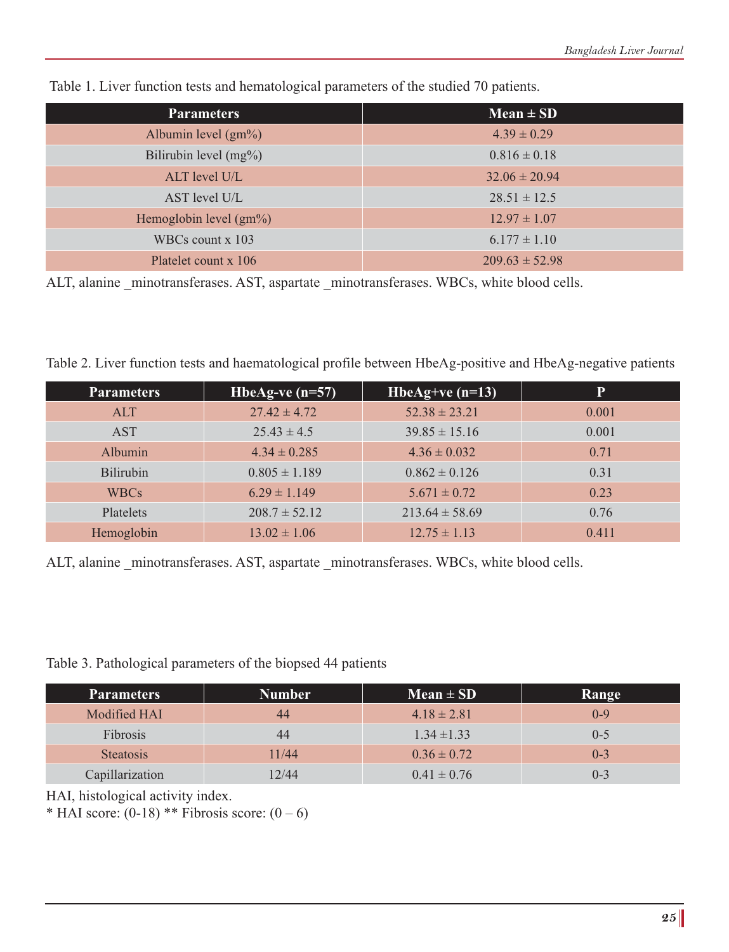| <b>Parameters</b>         | $Mean \pm SD$      |
|---------------------------|--------------------|
| Albumin level $(gm\%)$    | $4.39 \pm 0.29$    |
| Bilirubin level $(mg\%)$  | $0.816 \pm 0.18$   |
| ALT level U/L             | $32.06 \pm 20.94$  |
| AST level U/L             | $28.51 \pm 12.5$   |
| Hemoglobin level $(gm\%)$ | $12.97 \pm 1.07$   |
| WBCs count $x$ 103        | $6.177 \pm 1.10$   |
| Platelet count x 106      | $209.63 \pm 52.98$ |

Table 1. Liver function tests and hematological parameters of the studied 70 patients.

ALT, alanine minotransferases. AST, aspartate minotransferases. WBCs, white blood cells.

Table 2. Liver function tests and haematological profile between HbeAg-positive and HbeAg-negative patients

| <b>Parameters</b> | HbeAg-ve $(n=57)$ | HbeAg+ve $(n=13)$  | P     |
|-------------------|-------------------|--------------------|-------|
| <b>ALT</b>        | $27.42 \pm 4.72$  | $52.38 \pm 23.21$  | 0.001 |
| <b>AST</b>        | $25.43 \pm 4.5$   | $39.85 \pm 15.16$  | 0.001 |
| <b>Albumin</b>    | $4.34 \pm 0.285$  | $4.36 \pm 0.032$   | 0.71  |
| <b>Bilirubin</b>  | $0.805 \pm 1.189$ | $0.862 \pm 0.126$  | 0.31  |
| <b>WBCs</b>       | $6.29 \pm 1.149$  | $5.671 \pm 0.72$   | 0.23  |
| <b>Platelets</b>  | $208.7 \pm 52.12$ | $213.64 \pm 58.69$ | 0.76  |
| Hemoglobin        | $13.02 \pm 1.06$  | $12.75 \pm 1.13$   | 0.411 |

ALT, alanine minotransferases. AST, aspartate minotransferases. WBCs, white blood cells.

#### Table 3. Pathological parameters of the biopsed 44 patients

| <b>Parameters</b> | Number | $Mean \pm SD$   | Range   |
|-------------------|--------|-----------------|---------|
| Modified HAI      | 44     | $4.18 \pm 2.81$ | $0 - 9$ |
| Fibrosis          | 44     | $1.34 \pm 1.33$ | $0 - 5$ |
| <b>Steatosis</b>  | 11/44  | $0.36 \pm 0.72$ | $0 - 3$ |
| Capillarization   | 12/44  | $0.41 \pm 0.76$ | $0 - 3$ |

HAI, histological activity index.

\* HAI score:  $(0-18)$  \*\* Fibrosis score:  $(0-6)$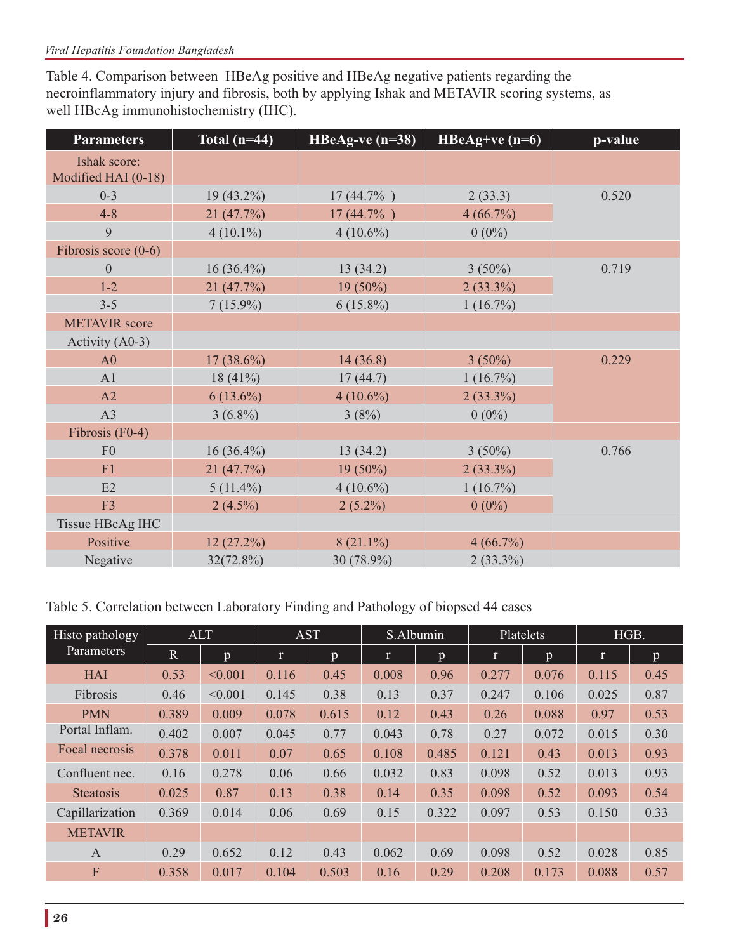Table 4. Comparison between HBeAg positive and HBeAg negative patients regarding the necroinflammatory injury and fibrosis, both by applying Ishak and METAVIR scoring systems, as well HBcAg immunohistochemistry (IHC).

| <b>Parameters</b>                   | Total $(n=44)$ | HBeAg-ve $(n=38)$ | $HBeAg+ve$ (n=6) | p-value |
|-------------------------------------|----------------|-------------------|------------------|---------|
| Ishak score:<br>Modified HAI (0-18) |                |                   |                  |         |
| $0 - 3$                             | $19(43.2\%)$   | $17(44.7\%)$      | 2(33.3)          | 0.520   |
| $4 - 8$                             | 21 (47.7%)     | $17(44.7\%)$      | 4(66.7%)         |         |
| 9                                   | $4(10.1\%)$    | $4(10.6\%)$       | $0(0\%)$         |         |
| Fibrosis score $(0-6)$              |                |                   |                  |         |
| $\boldsymbol{0}$                    | $16(36.4\%)$   | 13(34.2)          | $3(50\%)$        | 0.719   |
| $1 - 2$                             | 21(47.7%)      | $19(50\%)$        | $2(33.3\%)$      |         |
| $3 - 5$                             | $7(15.9\%)$    | $6(15.8\%)$       | $1(16.7\%)$      |         |
| <b>METAVIR</b> score                |                |                   |                  |         |
| Activity $(A0-3)$                   |                |                   |                  |         |
| A <sub>0</sub>                      | $17(38.6\%)$   | 14(36.8)          | $3(50\%)$        | 0.229   |
| A1                                  | 18 $(41\%)$    | 17(44.7)          | $1(16.7\%)$      |         |
| A2                                  | $6(13.6\%)$    | $4(10.6\%)$       | $2(33.3\%)$      |         |
| A3                                  | $3(6.8\%)$     | 3(8%)             | $0(0\%)$         |         |
| Fibrosis (F0-4)                     |                |                   |                  |         |
| F <sub>0</sub>                      | $16(36.4\%)$   | 13(34.2)          | $3(50\%)$        | 0.766   |
| F1                                  | 21(47.7%)      | $19(50\%)$        | $2(33.3\%)$      |         |
| E2                                  | $5(11.4\%)$    | $4(10.6\%)$       | $1(16.7\%)$      |         |
| F <sub>3</sub>                      | $2(4.5\%)$     | $2(5.2\%)$        | $0(0\%)$         |         |
| Tissue HBcAg IHC                    |                |                   |                  |         |
| Positive                            | 12(27.2%)      | $8(21.1\%)$       | $4(66.7\%)$      |         |
| Negative                            | 32(72.8%)      | 30 (78.9%)        | $2(33.3\%)$      |         |

Table 5. Correlation between Laboratory Finding and Pathology of biopsed 44 cases

| Histo pathology<br><b>Parameters</b> | <b>ALT</b>   |              | <b>AST</b>   |                | S.Albumin |       | Platelets |              | HGB.         |      |
|--------------------------------------|--------------|--------------|--------------|----------------|-----------|-------|-----------|--------------|--------------|------|
|                                      | $\mathbb{R}$ | $\mathbf{p}$ | $\mathbf{r}$ | $\mathfrak{p}$ | r         | p     | r         | $\mathbf{D}$ | $\mathbf{r}$ | p    |
| <b>HAI</b>                           | 0.53         | < 0.001      | 0.116        | 0.45           | 0.008     | 0.96  | 0.277     | 0.076        | 0.115        | 0.45 |
| Fibrosis                             | 0.46         | < 0.001      | 0.145        | 0.38           | 0.13      | 0.37  | 0.247     | 0.106        | 0.025        | 0.87 |
| <b>PMN</b>                           | 0.389        | 0.009        | 0.078        | 0.615          | 0.12      | 0.43  | 0.26      | 0.088        | 0.97         | 0.53 |
| Portal Inflam.                       | 0.402        | 0.007        | 0.045        | 0.77           | 0.043     | 0.78  | 0.27      | 0.072        | 0.015        | 0.30 |
| Focal necrosis                       | 0.378        | 0.011        | 0.07         | 0.65           | 0.108     | 0.485 | 0.121     | 0.43         | 0.013        | 0.93 |
| Confluent nec.                       | 0.16         | 0.278        | 0.06         | 0.66           | 0.032     | 0.83  | 0.098     | 0.52         | 0.013        | 0.93 |
| <b>Steatosis</b>                     | 0.025        | 0.87         | 0.13         | 0.38           | 0.14      | 0.35  | 0.098     | 0.52         | 0.093        | 0.54 |
| Capillarization                      | 0.369        | 0.014        | 0.06         | 0.69           | 0.15      | 0.322 | 0.097     | 0.53         | 0.150        | 0.33 |
| <b>METAVIR</b>                       |              |              |              |                |           |       |           |              |              |      |
| $\overline{A}$                       | 0.29         | 0.652        | 0.12         | 0.43           | 0.062     | 0.69  | 0.098     | 0.52         | 0.028        | 0.85 |
| F                                    | 0.358        | 0.017        | 0.104        | 0.503          | 0.16      | 0.29  | 0.208     | 0.173        | 0.088        | 0.57 |